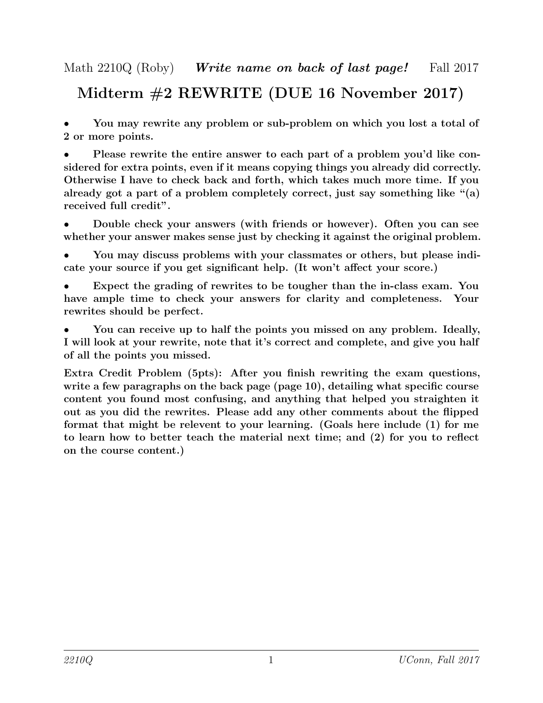## Midterm #2 REWRITE (DUE 16 November 2017)

• You may rewrite any problem or sub-problem on which you lost a total of 2 or more points.

• Please rewrite the entire answer to each part of a problem you'd like considered for extra points, even if it means copying things you already did correctly. Otherwise I have to check back and forth, which takes much more time. If you already got a part of a problem completely correct, just say something like "(a) received full credit".

• Double check your answers (with friends or however). Often you can see whether your answer makes sense just by checking it against the original problem.

• You may discuss problems with your classmates or others, but please indicate your source if you get significant help. (It won't affect your score.)

Expect the grading of rewrites to be tougher than the in-class exam. You have ample time to check your answers for clarity and completeness. Your rewrites should be perfect.

• You can receive up to half the points you missed on any problem. Ideally, I will look at your rewrite, note that it's correct and complete, and give you half of all the points you missed.

Extra Credit Problem (5pts): After you finish rewriting the exam questions, write a few paragraphs on the back page (page 10), detailing what specific course content you found most confusing, and anything that helped you straighten it out as you did the rewrites. Please add any other comments about the flipped format that might be relevent to your learning. (Goals here include (1) for me to learn how to better teach the material next time; and (2) for you to reflect on the course content.)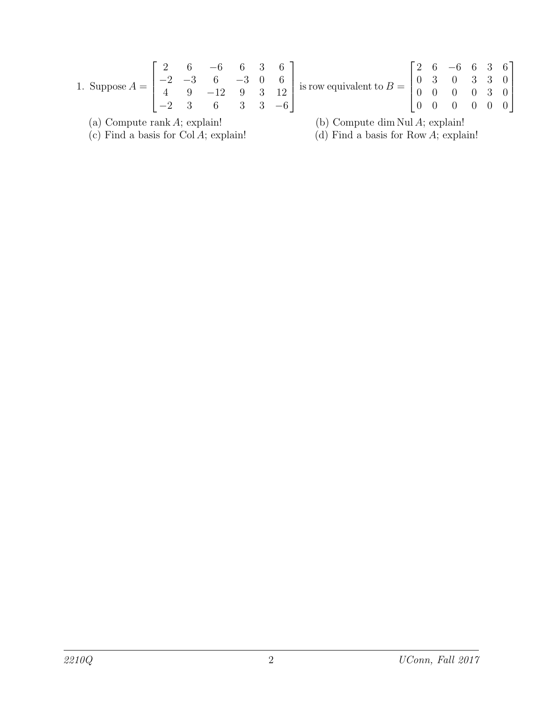1. Suppose 
$$
A = \begin{bmatrix} 2 & 6 & -6 & 6 & 3 & 6 \ -2 & -3 & 6 & -3 & 0 & 6 \ 4 & 9 & -12 & 9 & 3 & 12 \ -2 & 3 & 6 & 3 & 3 & -6 \end{bmatrix}
$$
 is row equivalent to  $B = \begin{bmatrix} 2 & 6 & -6 & 6 & 3 & 6 \ 0 & 3 & 0 & 3 & 3 & 0 \ 0 & 0 & 0 & 0 & 3 & 0 \ 0 & 0 & 0 & 0 & 0 & 0 \end{bmatrix}$ 

(c) Find a basis for Col  $A$ ; explain! (d) Find a basis for Row  $A$ ; explain!

(a) Compute rank A; explain! (b) Compute dim Nul A; explain!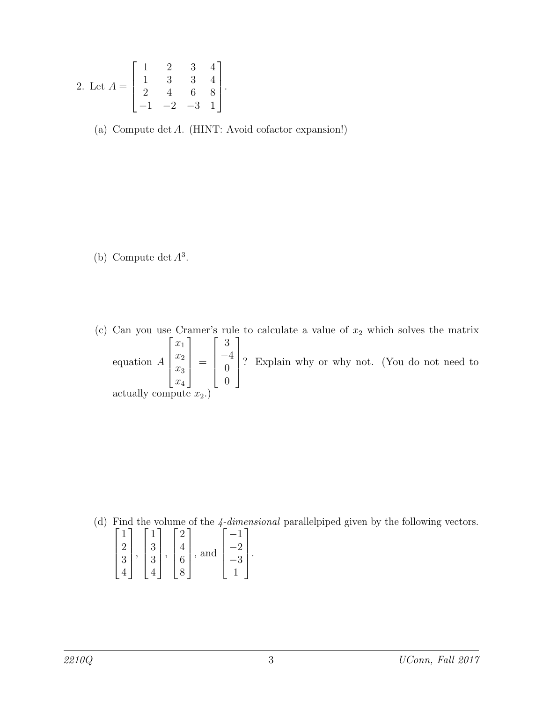2. Let 
$$
A = \begin{bmatrix} 1 & 2 & 3 & 4 \\ 1 & 3 & 3 & 4 \\ 2 & 4 & 6 & 8 \\ -1 & -2 & -3 & 1 \end{bmatrix}
$$
.

(a) Compute det A. (HINT: Avoid cofactor expansion!)

(b) Compute det  $A^3$ .

(c) Can you use Cramer's rule to calculate a value of  $x_2$  which solves the matrix equation A  $\sqrt{ }$   $\overline{x}_1$  $\overline{x_2}$  $\overline{x_3}$  $\overline{x_4}$ 1  $\Bigg\}$ =  $\sqrt{ }$  3 −4 0 0 1  $\Bigg\}$ ? Explain why or why not. (You do not need to actually compute  $x_2$ .)

(d) Find the volume of the  $\frac{4 \cdot dimensional}{2}$  parallelpiped given by the following vectors.

$$
\begin{bmatrix} 1 \\ 2 \\ 3 \\ 4 \end{bmatrix}, \begin{bmatrix} 1 \\ 3 \\ 3 \\ 4 \end{bmatrix}, \begin{bmatrix} 2 \\ 4 \\ 6 \\ 8 \end{bmatrix}, \text{and } \begin{bmatrix} -1 \\ -2 \\ -3 \\ 1 \end{bmatrix}.
$$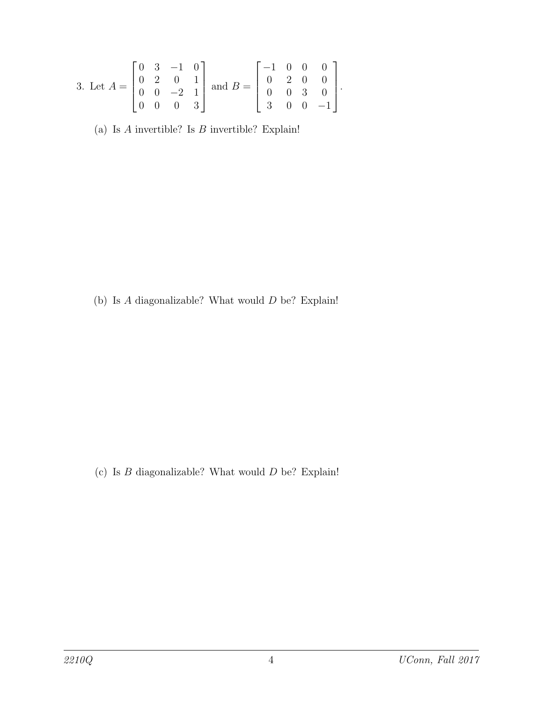3. Let 
$$
A = \begin{bmatrix} 0 & 3 & -1 & 0 \\ 0 & 2 & 0 & 1 \\ 0 & 0 & -2 & 1 \\ 0 & 0 & 0 & 3 \end{bmatrix}
$$
 and  $B = \begin{bmatrix} -1 & 0 & 0 & 0 \\ 0 & 2 & 0 & 0 \\ 0 & 0 & 3 & 0 \\ 3 & 0 & 0 & -1 \end{bmatrix}$ .

(a) Is  $A$  invertible? Is  $B$  invertible? Explain!

(b) Is  $A$  diagonalizable? What would  $D$  be? Explain!

(c) Is  $B$  diagonalizable? What would  $D$  be? Explain!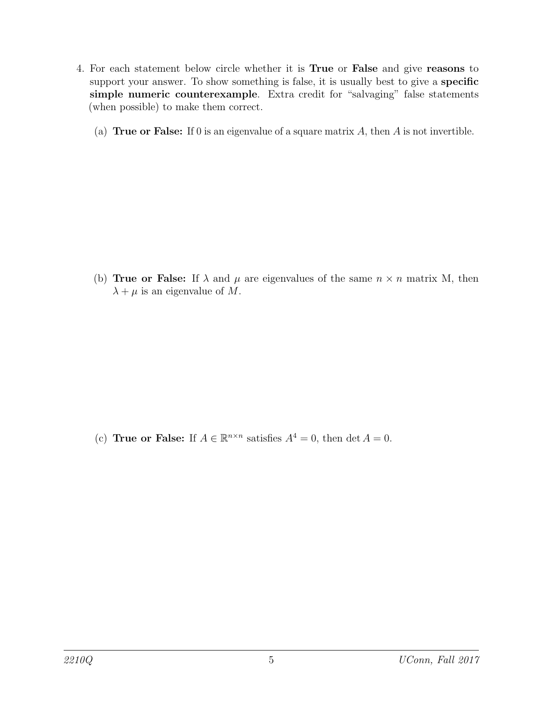- 4. For each statement below circle whether it is True or False and give reasons to support your answer. To show something is false, it is usually best to give a **specific** simple numeric counterexample. Extra credit for "salvaging" false statements (when possible) to make them correct.
	- (a) True or False: If 0 is an eigenvalue of a square matrix  $A$ , then  $A$  is not invertible.

(b) **True or False:** If  $\lambda$  and  $\mu$  are eigenvalues of the same  $n \times n$  matrix M, then  $\lambda + \mu$  is an eigenvalue of M.

(c) True or False: If  $A \in \mathbb{R}^{n \times n}$  satisfies  $A^4 = 0$ , then det  $A = 0$ .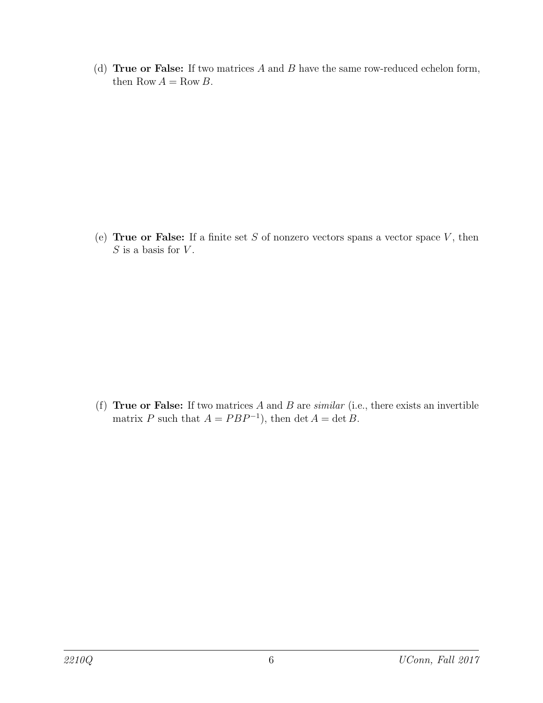(d) True or False: If two matrices  $A$  and  $B$  have the same row-reduced echelon form, then Row  $A = \text{Row } B$ .

(e) True or False: If a finite set  $S$  of nonzero vectors spans a vector space  $V$ , then  $S$  is a basis for  $V$ .

(f) True or False: If two matrices  $A$  and  $B$  are *similar* (i.e., there exists an invertible matrix P such that  $A = PBP^{-1}$ , then det  $A = \det B$ .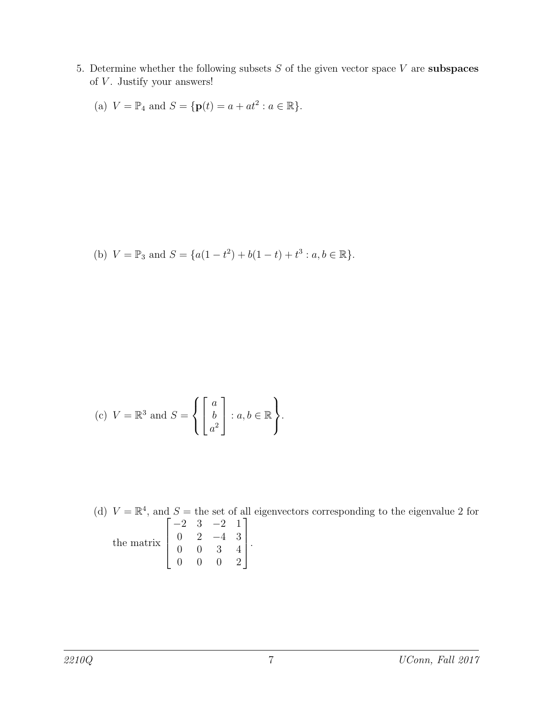5. Determine whether the following subsets  $S$  of the given vector space  $V$  are subspaces of  $V$ . Justify your answers!

(a) 
$$
V = \mathbb{P}_4
$$
 and  $S = {\mathbf{p}(t) = a + at^2 : a \in \mathbb{R}}$ .

(b) 
$$
V = \mathbb{P}_3
$$
 and  $S = \{a(1-t^2) + b(1-t) + t^3 : a, b \in \mathbb{R}\}.$ 

(c) 
$$
V = \mathbb{R}^3
$$
 and  $S = \left\{ \begin{bmatrix} a \\ b \\ a^2 \end{bmatrix} : a, b \in \mathbb{R} \right\}.$ 

(d)  $V = \mathbb{R}^4$ , and  $S =$  the set of all eigenvectors corresponding to the eigenvalue 2 for the matrix  $\sqrt{ }$  $\Big\}$ −2 3 −2 1  $0 \t 2 \t -4 \t 3$ 0 0 3 4 0 0 0 2 1  $\left| \right|$ .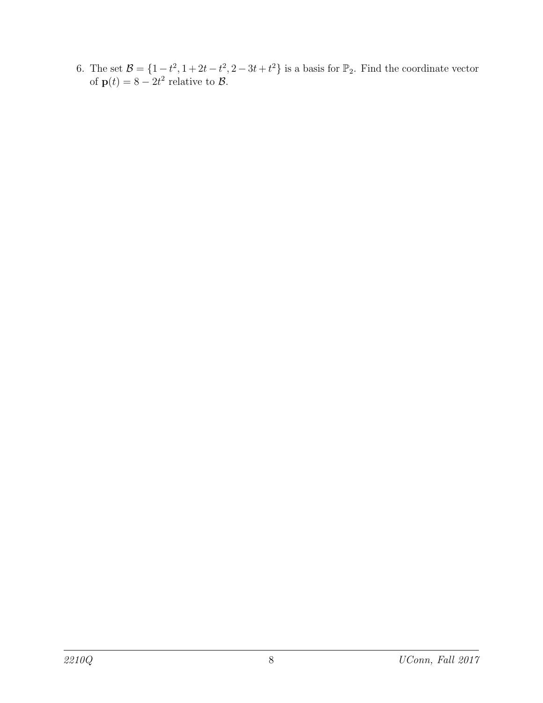6. The set  $\mathcal{B} = \{1 - t^2, 1 + 2t - t^2, 2 - 3t + t^2\}$  is a basis for  $\mathbb{P}_2$ . Find the coordinate vector of  $p(t) = 8 - 2t^2$  relative to  $\beta$ .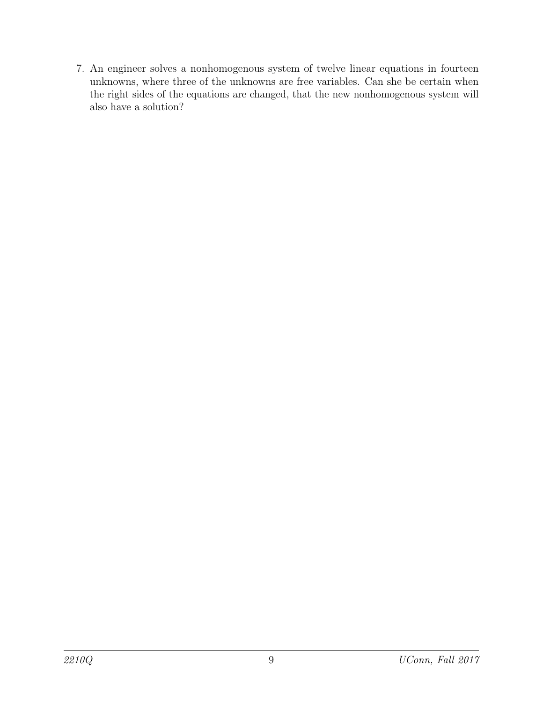7. An engineer solves a nonhomogenous system of twelve linear equations in fourteen unknowns, where three of the unknowns are free variables. Can she be certain when the right sides of the equations are changed, that the new nonhomogenous system will also have a solution?